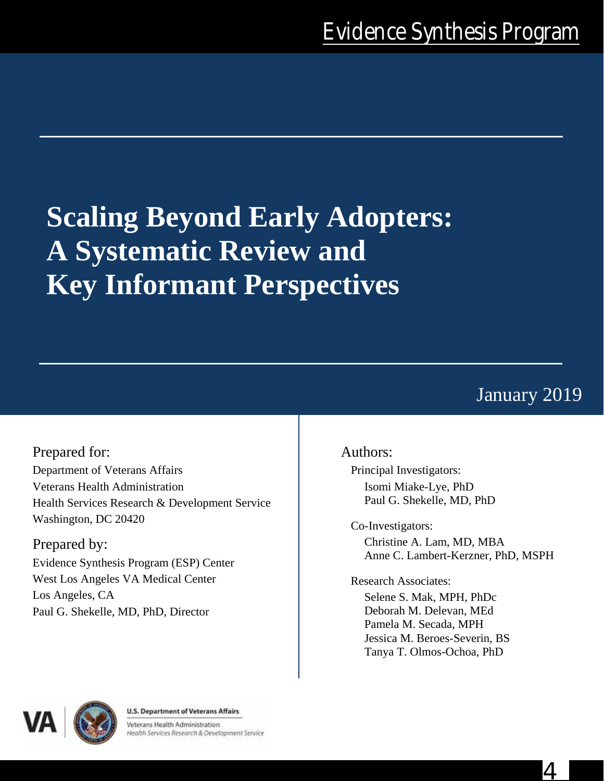# **Scaling Beyond Early Adopters: A Systematic Review and Key Informant Perspectives**

# January 2019

4

Prepared for: Department of Veterans Affairs Veterans Health Administration Health Services Research & Development Service Washington, DC 20420

Prepared by: Evidence Synthesis Program (ESP) Center West Los Angeles VA Medical Center Los Angeles, CA Paul G. Shekelle, MD, PhD, Director

## Authors:

Principal Investigators: Isomi Miake-Lye, PhD Paul G. Shekelle, MD, PhD

Co-Investigators:

Christine A. Lam, MD, MBA Anne C. Lambert-Kerzner, PhD, MSPH

Research Associates:

Selene S. Mak, MPH, PhDc Deborah M. Delevan, MEd Pamela M. Secada, MPH Jessica M. Beroes-Severin, BS Tanya T. Olmos-Ochoa, PhD



**U.S. Department of Veterans Affairs** 

Veterans Health Administration Health Services Research & Development Service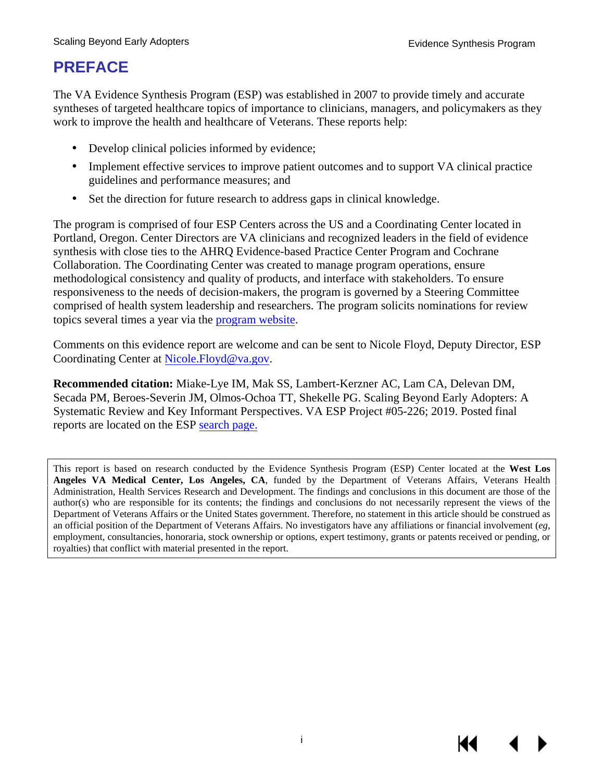# **PREFACE**

The VA Evidence Synthesis Program (ESP) was established in 2007 to provide timely and accurate syntheses of targeted healthcare topics of importance to clinicians, managers, and policymakers as they work to improve the health and healthcare of Veterans. These reports help:

- Develop clinical policies informed by evidence;
- Implement effective services to improve patient outcomes and to support VA clinical practice guidelines and performance measures; and
- Set the direction for future research to address gaps in clinical knowledge.

The program is comprised of four ESP Centers across the US and a Coordinating Center located in Portland, Oregon. Center Directors are VA clinicians and recognized leaders in the field of evidence synthesis with close ties to the AHRQ Evidence-based Practice Center Program and Cochrane Collaboration. The Coordinating Center was created to manage program operations, ensure methodological consistency and quality of products, and interface with stakeholders. To ensure responsiveness to the needs of decision-makers, the program is governed by a Steering Committee comprised of health system leadership and researchers. The program solicits nominations for review topics several times a year via the [program website.](https://www.hsrd.research.va.gov/publications/esp/TopicNomination.cfm)

Comments on this evidence report are welcome and can be sent to Nicole Floyd, Deputy Director, ESP Coordinating Center at [Nicole.Floyd@va.gov.](mailto:Nicole.Floyd@va.gov)

**Recommended citation:** Miake-Lye IM, Mak SS, Lambert-Kerzner AC, Lam CA, Delevan DM, Secada PM, Beroes-Severin JM, Olmos-Ochoa TT, Shekelle PG. Scaling Beyond Early Adopters: A Systematic Review and Key Informant Perspectives. VA ESP Project #05-226; 2019. Posted final reports are located on the ESP [search](https://www.hsrd.research.va.gov/publications/esp/reports.cfm) page.

This report is based on research conducted by the Evidence Synthesis Program (ESP) Center located at the **West Los Angeles VA Medical Center, Los Angeles, CA**, funded by the Department of Veterans Affairs, Veterans Health Administration, Health Services Research and Development. The findings and conclusions in this document are those of the author(s) who are responsible for its contents; the findings and conclusions do not necessarily represent the views of the Department of Veterans Affairs or the United States government. Therefore, no statement in this article should be construed as an official position of the Department of Veterans Affairs. No investigators have any affiliations or financial involvement (*eg*, employment, consultancies, honoraria, stock ownership or options, expert testimony, grants or patents received or pending, or royalties) that conflict with material presented in the report.

i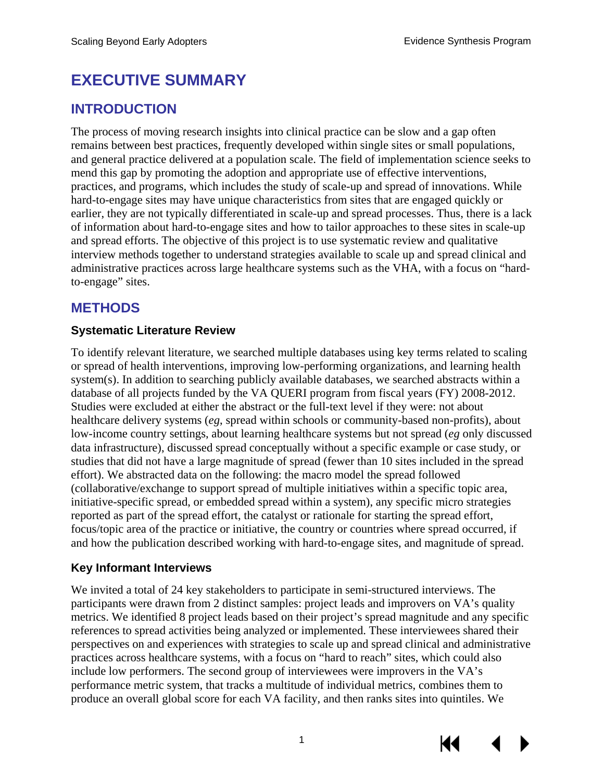# **EXECUTIVE SUMMARY**

## **INTRODUCTION**

The process of moving research insights into clinical practice can be slow and a gap often remains between best practices, frequently developed within single sites or small populations, and general practice delivered at a population scale. The field of implementation science seeks to mend this gap by promoting the adoption and appropriate use of effective interventions, practices, and programs, which includes the study of scale-up and spread of innovations. While hard-to-engage sites may have unique characteristics from sites that are engaged quickly or earlier, they are not typically differentiated in scale-up and spread processes. Thus, there is a lack of information about hard-to-engage sites and how to tailor approaches to these sites in scale-up and spread efforts. The objective of this project is to use systematic review and qualitative interview methods together to understand strategies available to scale up and spread clinical and administrative practices across large healthcare systems such as the VHA, with a focus on "hardto-engage" sites.

## **METHODS**

#### **Systematic Literature Review**

To identify relevant literature, we searched multiple databases using key terms related to scaling or spread of health interventions, improving low-performing organizations, and learning health system(s). In addition to searching publicly available databases, we searched abstracts within a database of all projects funded by the VA QUERI program from fiscal years (FY) 2008-2012. Studies were excluded at either the abstract or the full-text level if they were: not about healthcare delivery systems (*eg*, spread within schools or community-based non-profits), about low-income country settings, about learning healthcare systems but not spread (*eg* only discussed data infrastructure), discussed spread conceptually without a specific example or case study, or studies that did not have a large magnitude of spread (fewer than 10 sites included in the spread effort). We abstracted data on the following: the macro model the spread followed (collaborative/exchange to support spread of multiple initiatives within a specific topic area, initiative-specific spread, or embedded spread within a system), any specific micro strategies reported as part of the spread effort, the catalyst or rationale for starting the spread effort, focus/topic area of the practice or initiative, the country or countries where spread occurred, if and how the publication described working with hard-to-engage sites, and magnitude of spread.

#### **Key Informant Interviews**

We invited a total of 24 key stakeholders to participate in semi-structured interviews. The participants were drawn from 2 distinct samples: project leads and improvers on VA's quality metrics. We identified 8 project leads based on their project's spread magnitude and any specific references to spread activities being analyzed or implemented. These interviewees shared their perspectives on and experiences with strategies to scale up and spread clinical and administrative practices across healthcare systems, with a focus on "hard to reach" sites, which could also include low performers. The second group of interviewees were improvers in the VA's performance metric system, that tracks a multitude of individual metrics, combines them to produce an overall global score for each VA facility, and then ranks sites into quintiles. We



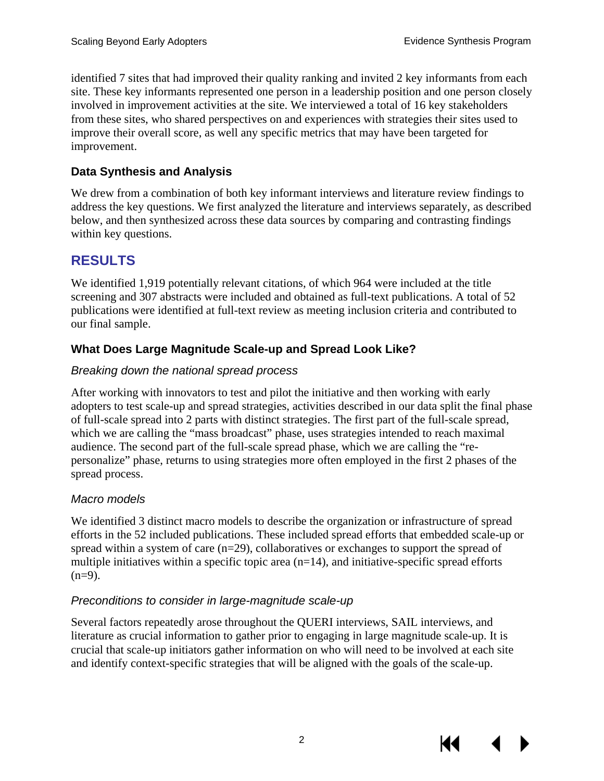identified 7 sites that had improved their quality ranking and invited 2 key informants from each site. These key informants represented one person in a leadership position and one person closely involved in improvement activities at the site. We interviewed a total of 16 key stakeholders from these sites, who shared perspectives on and experiences with strategies their sites used to improve their overall score, as well any specific metrics that may have been targeted for improvement.

## **Data Synthesis and Analysis**

We drew from a combination of both key informant interviews and literature review findings to address the key questions. We first analyzed the literature and interviews separately, as described below, and then synthesized across these data sources by comparing and contrasting findings within key questions.

# **RESULTS**

We identified 1,919 potentially relevant citations, of which 964 were included at the title screening and 307 abstracts were included and obtained as full-text publications. A total of 52 publications were identified at full-text review as meeting inclusion criteria and contributed to our final sample.

## **What Does Large Magnitude Scale-up and Spread Look Like?**

#### *Breaking down the national spread process*

After working with innovators to test and pilot the initiative and then working with early adopters to test scale-up and spread strategies, activities described in our data split the final phase of full-scale spread into 2 parts with distinct strategies. The first part of the full-scale spread, which we are calling the "mass broadcast" phase, uses strategies intended to reach maximal audience. The second part of the full-scale spread phase, which we are calling the "repersonalize" phase, returns to using strategies more often employed in the first 2 phases of the spread process.

#### *Macro models*

We identified 3 distinct macro models to describe the organization or infrastructure of spread efforts in the 52 included publications. These included spread efforts that embedded scale-up or spread within a system of care (n=29), collaboratives or exchanges to support the spread of multiple initiatives within a specific topic area  $(n=14)$ , and initiative-specific spread efforts  $(n=9)$ .

#### *Preconditions to consider in large-magnitude scale-up*

Several factors repeatedly arose throughout the QUERI interviews, SAIL interviews, and literature as crucial information to gather prior to engaging in large magnitude scale-up. It is crucial that scale-up initiators gather information on who will need to be involved at each site and identify context-specific strategies that will be aligned with the goals of the scale-up.

К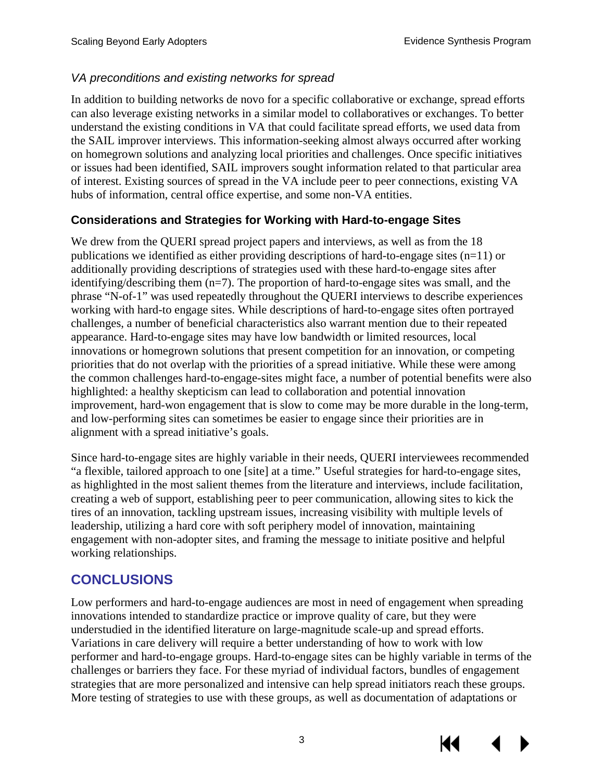#### *VA preconditions and existing networks for spread*

In addition to building networks de novo for a specific collaborative or exchange, spread efforts can also leverage existing networks in a similar model to collaboratives or exchanges. To better understand the existing conditions in VA that could facilitate spread efforts, we used data from the SAIL improver interviews. This information-seeking almost always occurred after working on homegrown solutions and analyzing local priorities and challenges. Once specific initiatives or issues had been identified, SAIL improvers sought information related to that particular area of interest. Existing sources of spread in the VA include peer to peer connections, existing VA hubs of information, central office expertise, and some non-VA entities.

#### **Considerations and Strategies for Working with Hard-to-engage Sites**

We drew from the QUERI spread project papers and interviews, as well as from the 18 publications we identified as either providing descriptions of hard-to-engage sites  $(n=11)$  or additionally providing descriptions of strategies used with these hard-to-engage sites after identifying/describing them  $(n=7)$ . The proportion of hard-to-engage sites was small, and the phrase "N-of-1" was used repeatedly throughout the QUERI interviews to describe experiences working with hard-to engage sites. While descriptions of hard-to-engage sites often portrayed challenges, a number of beneficial characteristics also warrant mention due to their repeated appearance. Hard-to-engage sites may have low bandwidth or limited resources, local innovations or homegrown solutions that present competition for an innovation, or competing priorities that do not overlap with the priorities of a spread initiative. While these were among the common challenges hard-to-engage-sites might face, a number of potential benefits were also highlighted: a healthy skepticism can lead to collaboration and potential innovation improvement, hard-won engagement that is slow to come may be more durable in the long-term, and low-performing sites can sometimes be easier to engage since their priorities are in alignment with a spread initiative's goals.

Since hard-to-engage sites are highly variable in their needs, QUERI interviewees recommended "a flexible, tailored approach to one [site] at a time." Useful strategies for hard-to-engage sites, as highlighted in the most salient themes from the literature and interviews, include facilitation, creating a web of support, establishing peer to peer communication, allowing sites to kick the tires of an innovation, tackling upstream issues, increasing visibility with multiple levels of leadership, utilizing a hard core with soft periphery model of innovation, maintaining engagement with non-adopter sites, and framing the message to initiate positive and helpful working relationships.

## **CONCLUSIONS**

Low performers and hard-to-engage audiences are most in need of engagement when spreading innovations intended to standardize practice or improve quality of care, but they were understudied in the identified literature on large-magnitude scale-up and spread efforts. Variations in care delivery will require a better understanding of how to work with low performer and hard-to-engage groups. Hard-to-engage sites can be highly variable in terms of the challenges or barriers they face. For these myriad of individual factors, bundles of engagement strategies that are more personalized and intensive can help spread initiators reach these groups. More testing of strategies to use with these groups, as well as documentation of adaptations or

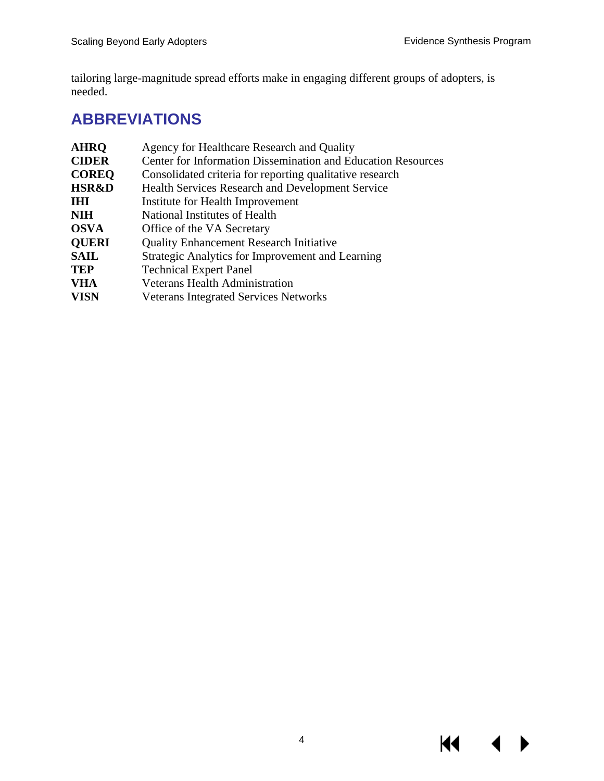$M \rightarrow$ 

tailoring large-magnitude spread efforts make in engaging different groups of adopters, is needed.

# **ABBREVIATIONS**

| Agency for Healthcare Research and Quality                          |
|---------------------------------------------------------------------|
| <b>Center for Information Dissemination and Education Resources</b> |
| Consolidated criteria for reporting qualitative research            |
| <b>Health Services Research and Development Service</b>             |
| Institute for Health Improvement                                    |
| National Institutes of Health                                       |
| Office of the VA Secretary                                          |
| <b>Quality Enhancement Research Initiative</b>                      |
| Strategic Analytics for Improvement and Learning                    |
| <b>Technical Expert Panel</b>                                       |
| <b>Veterans Health Administration</b>                               |
| <b>Veterans Integrated Services Networks</b>                        |
|                                                                     |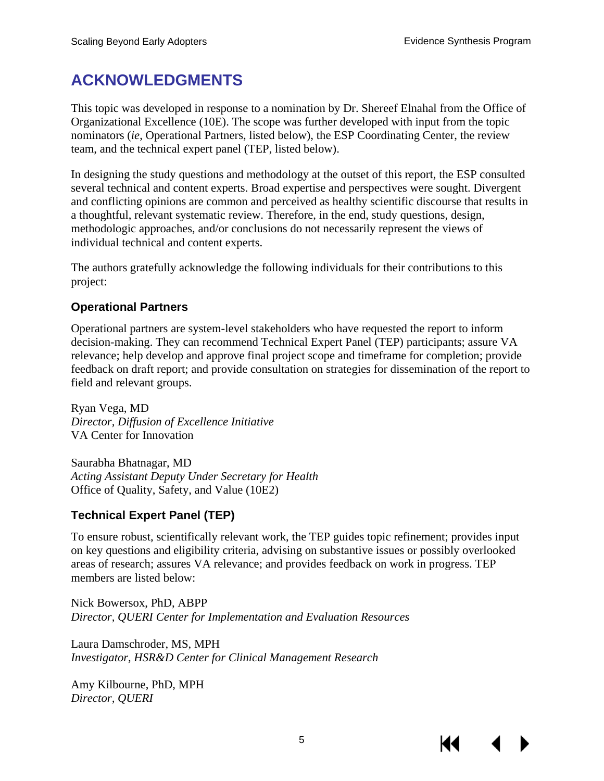# **ACKNOWLEDGMENTS**

This topic was developed in response to a nomination by Dr. Shereef Elnahal from the Office of Organizational Excellence (10E). The scope was further developed with input from the topic nominators (*ie*, Operational Partners, listed below), the ESP Coordinating Center, the review team, and the technical expert panel (TEP, listed below).

In designing the study questions and methodology at the outset of this report, the ESP consulted several technical and content experts. Broad expertise and perspectives were sought. Divergent and conflicting opinions are common and perceived as healthy scientific discourse that results in a thoughtful, relevant systematic review. Therefore, in the end, study questions, design, methodologic approaches, and/or conclusions do not necessarily represent the views of individual technical and content experts.

The authors gratefully acknowledge the following individuals for their contributions to this project:

#### **Operational Partners**

Operational partners are system-level stakeholders who have requested the report to inform decision-making. They can recommend Technical Expert Panel (TEP) participants; assure VA relevance; help develop and approve final project scope and timeframe for completion; provide feedback on draft report; and provide consultation on strategies for dissemination of the report to field and relevant groups.

Ryan Vega, MD *Director, Diffusion of Excellence Initiative* VA Center for Innovation

Saurabha Bhatnagar, MD *Acting Assistant Deputy Under Secretary for Health*  Office of Quality, Safety, and Value (10E2)

#### **Technical Expert Panel (TEP)**

To ensure robust, scientifically relevant work, the TEP guides topic refinement; provides input on key questions and eligibility criteria, advising on substantive issues or possibly overlooked areas of research; assures VA relevance; and provides feedback on work in progress. TEP members are listed below:

Nick Bowersox, PhD, ABPP *Director, QUERI Center for Implementation and Evaluation Resources* 

Laura Damschroder, MS, MPH *Investigator, HSR&D Center for Clinical Management Research* 

Amy Kilbourne, PhD, MPH *Director, QUERI*